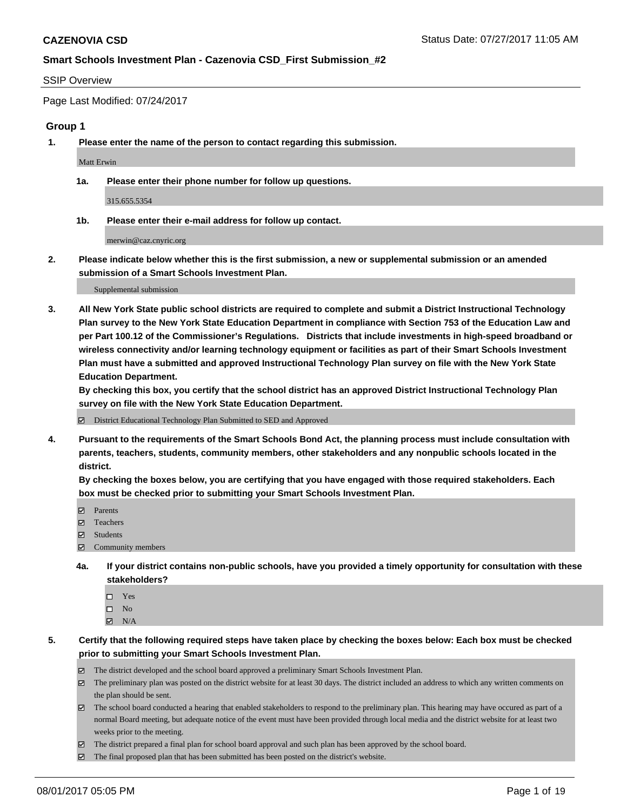#### SSIP Overview

Page Last Modified: 07/24/2017

#### **Group 1**

**1. Please enter the name of the person to contact regarding this submission.**

Matt Erwin

**1a. Please enter their phone number for follow up questions.**

315.655.5354

**1b. Please enter their e-mail address for follow up contact.**

merwin@caz.cnyric.org

**2. Please indicate below whether this is the first submission, a new or supplemental submission or an amended submission of a Smart Schools Investment Plan.**

Supplemental submission

**3. All New York State public school districts are required to complete and submit a District Instructional Technology Plan survey to the New York State Education Department in compliance with Section 753 of the Education Law and per Part 100.12 of the Commissioner's Regulations. Districts that include investments in high-speed broadband or wireless connectivity and/or learning technology equipment or facilities as part of their Smart Schools Investment Plan must have a submitted and approved Instructional Technology Plan survey on file with the New York State Education Department.** 

**By checking this box, you certify that the school district has an approved District Instructional Technology Plan survey on file with the New York State Education Department.**

District Educational Technology Plan Submitted to SED and Approved

**4. Pursuant to the requirements of the Smart Schools Bond Act, the planning process must include consultation with parents, teachers, students, community members, other stakeholders and any nonpublic schools located in the district.** 

**By checking the boxes below, you are certifying that you have engaged with those required stakeholders. Each box must be checked prior to submitting your Smart Schools Investment Plan.**

- **マ** Parents
- □ Teachers
- Students
- $\Xi$  Community members
- **4a. If your district contains non-public schools, have you provided a timely opportunity for consultation with these stakeholders?**
	- Yes
	- $\hfill \square$  No
	- $\boxtimes$  N/A
- **5. Certify that the following required steps have taken place by checking the boxes below: Each box must be checked prior to submitting your Smart Schools Investment Plan.**
	- The district developed and the school board approved a preliminary Smart Schools Investment Plan.
	- $\boxtimes$  The preliminary plan was posted on the district website for at least 30 days. The district included an address to which any written comments on the plan should be sent.
	- $\boxtimes$  The school board conducted a hearing that enabled stakeholders to respond to the preliminary plan. This hearing may have occured as part of a normal Board meeting, but adequate notice of the event must have been provided through local media and the district website for at least two weeks prior to the meeting.
	- The district prepared a final plan for school board approval and such plan has been approved by the school board.
	- $\boxtimes$  The final proposed plan that has been submitted has been posted on the district's website.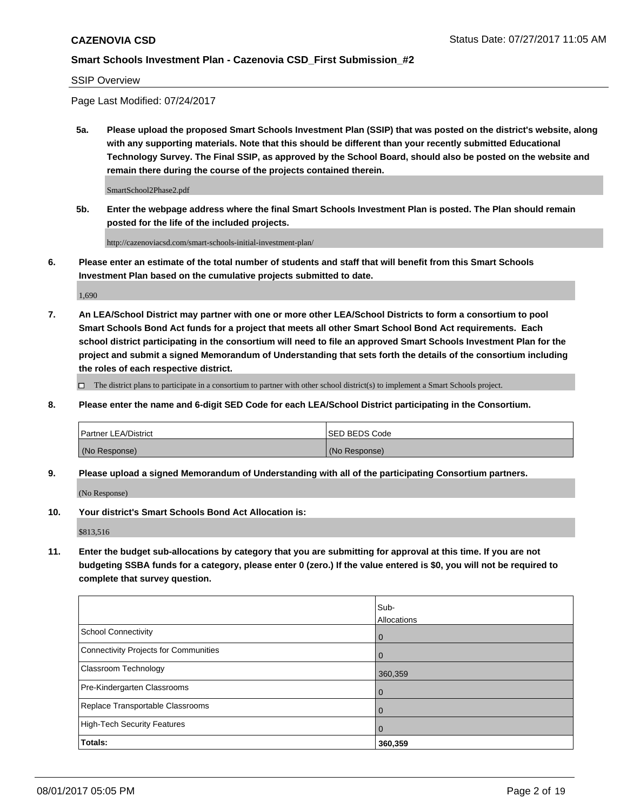SSIP Overview

Page Last Modified: 07/24/2017

**5a. Please upload the proposed Smart Schools Investment Plan (SSIP) that was posted on the district's website, along with any supporting materials. Note that this should be different than your recently submitted Educational Technology Survey. The Final SSIP, as approved by the School Board, should also be posted on the website and remain there during the course of the projects contained therein.**

SmartSchool2Phase2.pdf

**5b. Enter the webpage address where the final Smart Schools Investment Plan is posted. The Plan should remain posted for the life of the included projects.**

http://cazenoviacsd.com/smart-schools-initial-investment-plan/

**6. Please enter an estimate of the total number of students and staff that will benefit from this Smart Schools Investment Plan based on the cumulative projects submitted to date.**

1,690

**7. An LEA/School District may partner with one or more other LEA/School Districts to form a consortium to pool Smart Schools Bond Act funds for a project that meets all other Smart School Bond Act requirements. Each school district participating in the consortium will need to file an approved Smart Schools Investment Plan for the project and submit a signed Memorandum of Understanding that sets forth the details of the consortium including the roles of each respective district.**

 $\Box$  The district plans to participate in a consortium to partner with other school district(s) to implement a Smart Schools project.

**8. Please enter the name and 6-digit SED Code for each LEA/School District participating in the Consortium.**

| <b>Partner LEA/District</b> | <b>ISED BEDS Code</b> |
|-----------------------------|-----------------------|
| (No Response)               | (No Response)         |

**9. Please upload a signed Memorandum of Understanding with all of the participating Consortium partners.**

(No Response)

**10. Your district's Smart Schools Bond Act Allocation is:**

\$813,516

**11. Enter the budget sub-allocations by category that you are submitting for approval at this time. If you are not budgeting SSBA funds for a category, please enter 0 (zero.) If the value entered is \$0, you will not be required to complete that survey question.**

|                                       | Sub-<br>Allocations |
|---------------------------------------|---------------------|
| <b>School Connectivity</b>            | 0                   |
| Connectivity Projects for Communities | $\Omega$            |
| <b>Classroom Technology</b>           | 360,359             |
| Pre-Kindergarten Classrooms           | 0                   |
| Replace Transportable Classrooms      | O                   |
| <b>High-Tech Security Features</b>    | 0                   |
| Totals:                               | 360,359             |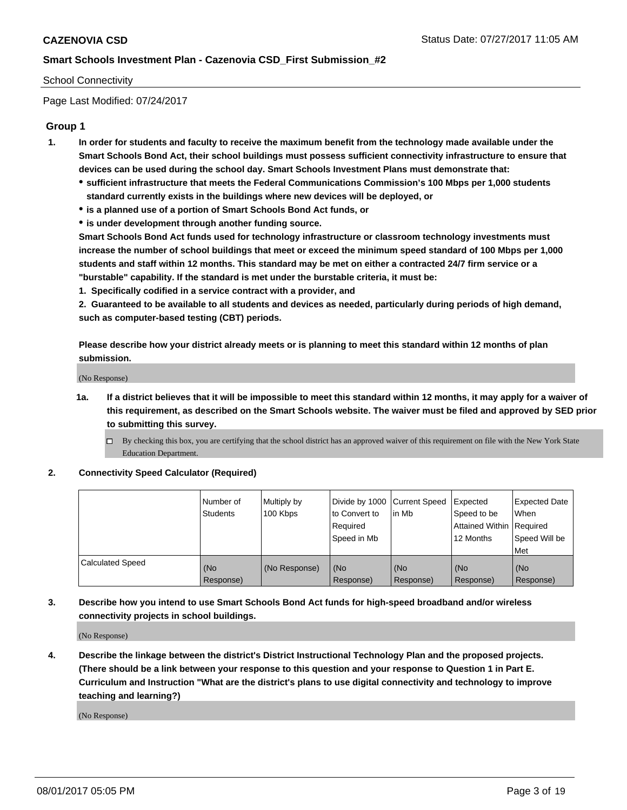### School Connectivity

Page Last Modified: 07/24/2017

### **Group 1**

- **1. In order for students and faculty to receive the maximum benefit from the technology made available under the Smart Schools Bond Act, their school buildings must possess sufficient connectivity infrastructure to ensure that devices can be used during the school day. Smart Schools Investment Plans must demonstrate that:**
	- **sufficient infrastructure that meets the Federal Communications Commission's 100 Mbps per 1,000 students standard currently exists in the buildings where new devices will be deployed, or**
	- **is a planned use of a portion of Smart Schools Bond Act funds, or**
	- **is under development through another funding source.**

**Smart Schools Bond Act funds used for technology infrastructure or classroom technology investments must increase the number of school buildings that meet or exceed the minimum speed standard of 100 Mbps per 1,000 students and staff within 12 months. This standard may be met on either a contracted 24/7 firm service or a "burstable" capability. If the standard is met under the burstable criteria, it must be:**

**1. Specifically codified in a service contract with a provider, and**

**2. Guaranteed to be available to all students and devices as needed, particularly during periods of high demand, such as computer-based testing (CBT) periods.**

**Please describe how your district already meets or is planning to meet this standard within 12 months of plan submission.**

(No Response)

- **1a. If a district believes that it will be impossible to meet this standard within 12 months, it may apply for a waiver of this requirement, as described on the Smart Schools website. The waiver must be filed and approved by SED prior to submitting this survey.**
	- By checking this box, you are certifying that the school district has an approved waiver of this requirement on file with the New York State Education Department.

#### **2. Connectivity Speed Calculator (Required)**

|                         | l Number of<br><b>Students</b> | Multiply by<br>100 Kbps | Divide by 1000 Current Speed<br>to Convert to<br>Required<br>l Speed in Mb | lin Mb           | Expected<br>Speed to be<br>Attained Within Required<br>12 Months | Expected Date<br>When<br>Speed Will be<br><b>Met</b> |
|-------------------------|--------------------------------|-------------------------|----------------------------------------------------------------------------|------------------|------------------------------------------------------------------|------------------------------------------------------|
| <b>Calculated Speed</b> | (No<br>Response)               | (No Response)           | (No<br>Response)                                                           | (No<br>Response) | (No<br>Response)                                                 | l (No<br>Response)                                   |

### **3. Describe how you intend to use Smart Schools Bond Act funds for high-speed broadband and/or wireless connectivity projects in school buildings.**

(No Response)

**4. Describe the linkage between the district's District Instructional Technology Plan and the proposed projects. (There should be a link between your response to this question and your response to Question 1 in Part E. Curriculum and Instruction "What are the district's plans to use digital connectivity and technology to improve teaching and learning?)**

(No Response)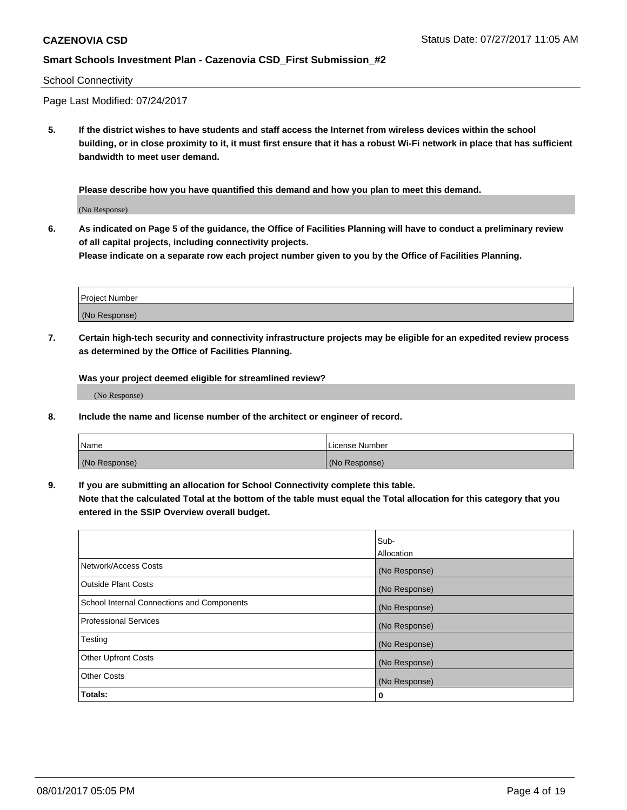#### School Connectivity

Page Last Modified: 07/24/2017

**5. If the district wishes to have students and staff access the Internet from wireless devices within the school building, or in close proximity to it, it must first ensure that it has a robust Wi-Fi network in place that has sufficient bandwidth to meet user demand.**

**Please describe how you have quantified this demand and how you plan to meet this demand.**

(No Response)

**6. As indicated on Page 5 of the guidance, the Office of Facilities Planning will have to conduct a preliminary review of all capital projects, including connectivity projects.**

**Please indicate on a separate row each project number given to you by the Office of Facilities Planning.**

| Project Number |  |
|----------------|--|
|                |  |
| (No Response)  |  |

**7. Certain high-tech security and connectivity infrastructure projects may be eligible for an expedited review process as determined by the Office of Facilities Planning.**

**Was your project deemed eligible for streamlined review?**

(No Response)

**8. Include the name and license number of the architect or engineer of record.**

| Name          | License Number |
|---------------|----------------|
| (No Response) | (No Response)  |

**9. If you are submitting an allocation for School Connectivity complete this table.**

**Note that the calculated Total at the bottom of the table must equal the Total allocation for this category that you entered in the SSIP Overview overall budget.** 

|                                            | Sub-          |
|--------------------------------------------|---------------|
|                                            | Allocation    |
| Network/Access Costs                       | (No Response) |
| <b>Outside Plant Costs</b>                 | (No Response) |
| School Internal Connections and Components | (No Response) |
| <b>Professional Services</b>               | (No Response) |
| Testing                                    | (No Response) |
| <b>Other Upfront Costs</b>                 | (No Response) |
| <b>Other Costs</b>                         | (No Response) |
| Totals:                                    | 0             |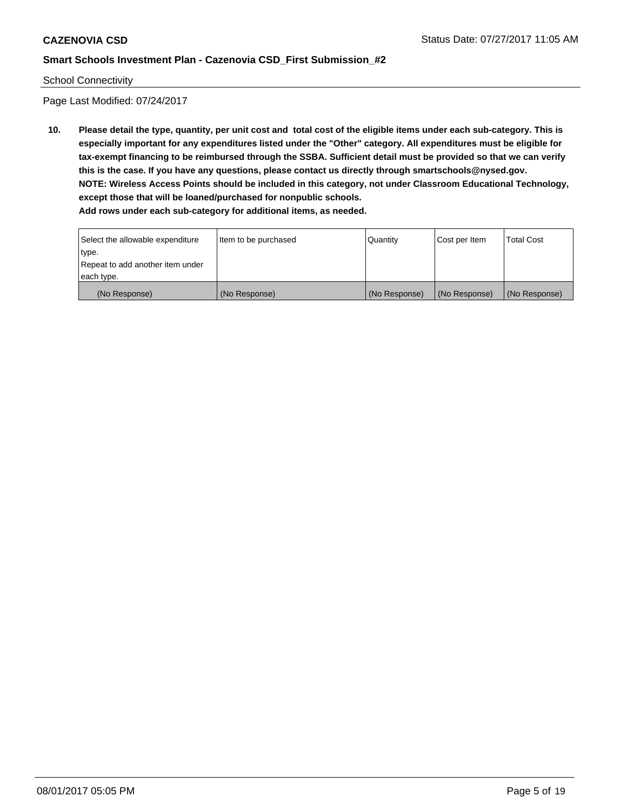#### School Connectivity

Page Last Modified: 07/24/2017

**10. Please detail the type, quantity, per unit cost and total cost of the eligible items under each sub-category. This is especially important for any expenditures listed under the "Other" category. All expenditures must be eligible for tax-exempt financing to be reimbursed through the SSBA. Sufficient detail must be provided so that we can verify this is the case. If you have any questions, please contact us directly through smartschools@nysed.gov. NOTE: Wireless Access Points should be included in this category, not under Classroom Educational Technology, except those that will be loaned/purchased for nonpublic schools. Add rows under each sub-category for additional items, as needed.**

Select the allowable expenditure type. Repeat to add another item under each type. Item to be purchased  $\sqrt{$  Quantity  $\sqrt{}$  Cost per Item  $\sqrt{}$  Total Cost (No Response) (No Response) (No Response) (No Response) (No Response)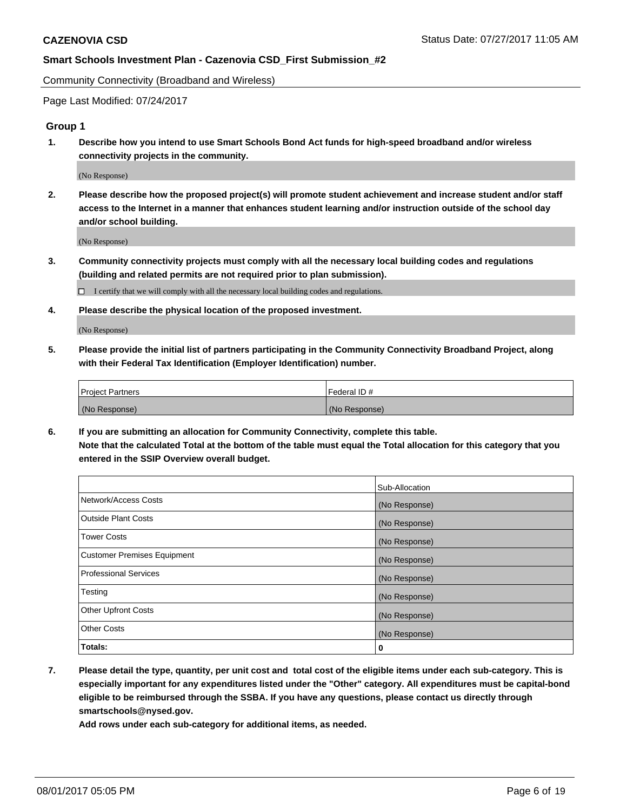Community Connectivity (Broadband and Wireless)

Page Last Modified: 07/24/2017

### **Group 1**

**1. Describe how you intend to use Smart Schools Bond Act funds for high-speed broadband and/or wireless connectivity projects in the community.**

(No Response)

**2. Please describe how the proposed project(s) will promote student achievement and increase student and/or staff access to the Internet in a manner that enhances student learning and/or instruction outside of the school day and/or school building.**

(No Response)

**3. Community connectivity projects must comply with all the necessary local building codes and regulations (building and related permits are not required prior to plan submission).**

 $\Box$  I certify that we will comply with all the necessary local building codes and regulations.

**4. Please describe the physical location of the proposed investment.**

(No Response)

**5. Please provide the initial list of partners participating in the Community Connectivity Broadband Project, along with their Federal Tax Identification (Employer Identification) number.**

| <b>Project Partners</b> | Federal ID#     |
|-------------------------|-----------------|
| (No Response)           | l (No Response) |

**6. If you are submitting an allocation for Community Connectivity, complete this table. Note that the calculated Total at the bottom of the table must equal the Total allocation for this category that you entered in the SSIP Overview overall budget.**

|                                    | Sub-Allocation |
|------------------------------------|----------------|
| Network/Access Costs               | (No Response)  |
| Outside Plant Costs                | (No Response)  |
| <b>Tower Costs</b>                 | (No Response)  |
| <b>Customer Premises Equipment</b> | (No Response)  |
| <b>Professional Services</b>       | (No Response)  |
| Testing                            | (No Response)  |
| <b>Other Upfront Costs</b>         | (No Response)  |
| <b>Other Costs</b>                 | (No Response)  |
| Totals:                            | 0              |

**7. Please detail the type, quantity, per unit cost and total cost of the eligible items under each sub-category. This is especially important for any expenditures listed under the "Other" category. All expenditures must be capital-bond eligible to be reimbursed through the SSBA. If you have any questions, please contact us directly through smartschools@nysed.gov.**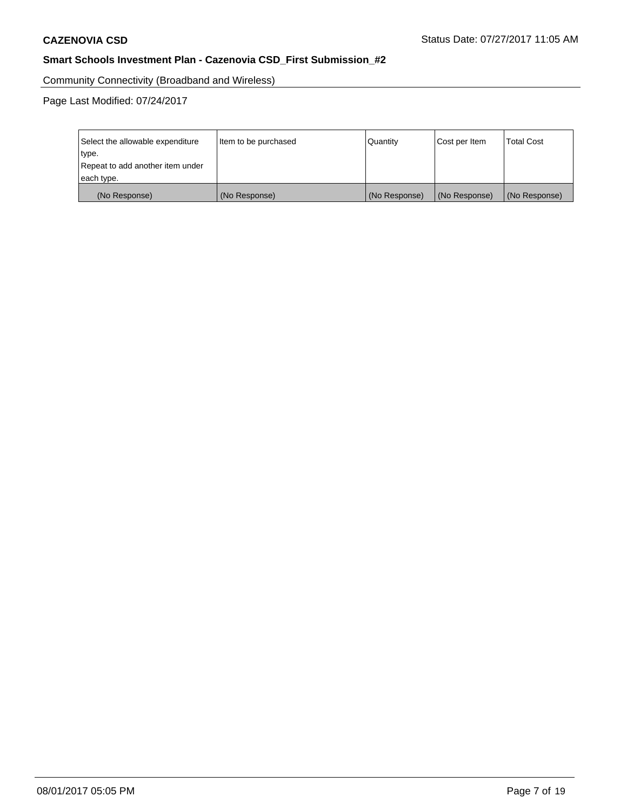Community Connectivity (Broadband and Wireless)

| Select the allowable expenditure<br>type.<br>Repeat to add another item under | Item to be purchased | Quantity      | Cost per Item | <b>Total Cost</b> |
|-------------------------------------------------------------------------------|----------------------|---------------|---------------|-------------------|
| each type.                                                                    |                      |               |               |                   |
| (No Response)                                                                 | (No Response)        | (No Response) | (No Response) | (No Response)     |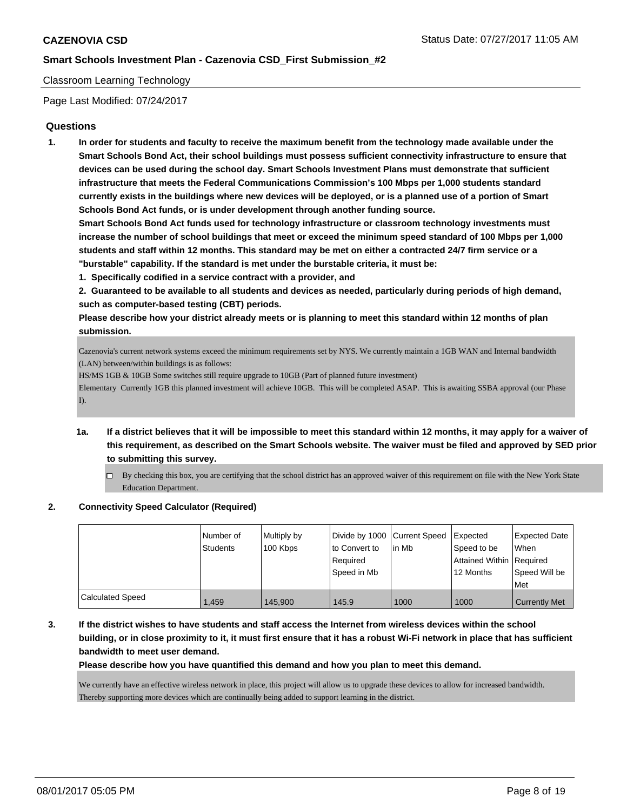### Classroom Learning Technology

Page Last Modified: 07/24/2017

### **Questions**

**1. In order for students and faculty to receive the maximum benefit from the technology made available under the Smart Schools Bond Act, their school buildings must possess sufficient connectivity infrastructure to ensure that devices can be used during the school day. Smart Schools Investment Plans must demonstrate that sufficient infrastructure that meets the Federal Communications Commission's 100 Mbps per 1,000 students standard currently exists in the buildings where new devices will be deployed, or is a planned use of a portion of Smart Schools Bond Act funds, or is under development through another funding source.**

**Smart Schools Bond Act funds used for technology infrastructure or classroom technology investments must increase the number of school buildings that meet or exceed the minimum speed standard of 100 Mbps per 1,000 students and staff within 12 months. This standard may be met on either a contracted 24/7 firm service or a "burstable" capability. If the standard is met under the burstable criteria, it must be:**

- **1. Specifically codified in a service contract with a provider, and**
- **2. Guaranteed to be available to all students and devices as needed, particularly during periods of high demand, such as computer-based testing (CBT) periods.**

**Please describe how your district already meets or is planning to meet this standard within 12 months of plan submission.**

Cazenovia's current network systems exceed the minimum requirements set by NYS. We currently maintain a 1GB WAN and Internal bandwidth (LAN) between/within buildings is as follows:

HS/MS 1GB & 10GB Some switches still require upgrade to 10GB (Part of planned future investment)

Elementary Currently 1GB this planned investment will achieve 10GB. This will be completed ASAP. This is awaiting SSBA approval (our Phase I).

- **1a. If a district believes that it will be impossible to meet this standard within 12 months, it may apply for a waiver of this requirement, as described on the Smart Schools website. The waiver must be filed and approved by SED prior to submitting this survey.**
	- $\Box$  By checking this box, you are certifying that the school district has an approved waiver of this requirement on file with the New York State Education Department.

#### **2. Connectivity Speed Calculator (Required)**

|                         | I Number of<br><b>Students</b> | Multiply by<br>100 Kbps | Divide by 1000 Current Speed<br>to Convert to<br>Reauired<br>Speed in Mb | lin Mb | <b>Expected</b><br>Speed to be<br>Attained Within Required<br>12 Months | <b>Expected Date</b><br>When<br>Speed Will be<br>Met |
|-------------------------|--------------------------------|-------------------------|--------------------------------------------------------------------------|--------|-------------------------------------------------------------------------|------------------------------------------------------|
| <b>Calculated Speed</b> | 1.459                          | 145.900                 | 145.9                                                                    | 1000   | 1000                                                                    | <b>Currently Met</b>                                 |

**3. If the district wishes to have students and staff access the Internet from wireless devices within the school building, or in close proximity to it, it must first ensure that it has a robust Wi-Fi network in place that has sufficient bandwidth to meet user demand.**

**Please describe how you have quantified this demand and how you plan to meet this demand.**

We currently have an effective wireless network in place, this project will allow us to upgrade these devices to allow for increased bandwidth. Thereby supporting more devices which are continually being added to support learning in the district.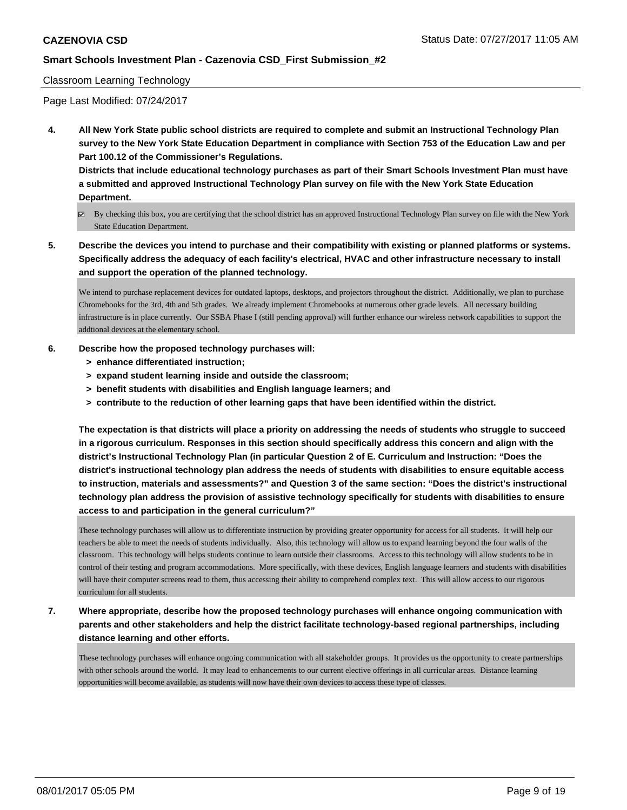#### Classroom Learning Technology

Page Last Modified: 07/24/2017

**4. All New York State public school districts are required to complete and submit an Instructional Technology Plan survey to the New York State Education Department in compliance with Section 753 of the Education Law and per Part 100.12 of the Commissioner's Regulations.**

**Districts that include educational technology purchases as part of their Smart Schools Investment Plan must have a submitted and approved Instructional Technology Plan survey on file with the New York State Education Department.**

- By checking this box, you are certifying that the school district has an approved Instructional Technology Plan survey on file with the New York State Education Department.
- **5. Describe the devices you intend to purchase and their compatibility with existing or planned platforms or systems. Specifically address the adequacy of each facility's electrical, HVAC and other infrastructure necessary to install and support the operation of the planned technology.**

We intend to purchase replacement devices for outdated laptops, desktops, and projectors throughout the district. Additionally, we plan to purchase Chromebooks for the 3rd, 4th and 5th grades. We already implement Chromebooks at numerous other grade levels. All necessary building infrastructure is in place currently. Our SSBA Phase I (still pending approval) will further enhance our wireless network capabilities to support the addtional devices at the elementary school.

#### **6. Describe how the proposed technology purchases will:**

- **> enhance differentiated instruction;**
- **> expand student learning inside and outside the classroom;**
- **> benefit students with disabilities and English language learners; and**
- **> contribute to the reduction of other learning gaps that have been identified within the district.**

**The expectation is that districts will place a priority on addressing the needs of students who struggle to succeed in a rigorous curriculum. Responses in this section should specifically address this concern and align with the district's Instructional Technology Plan (in particular Question 2 of E. Curriculum and Instruction: "Does the district's instructional technology plan address the needs of students with disabilities to ensure equitable access to instruction, materials and assessments?" and Question 3 of the same section: "Does the district's instructional technology plan address the provision of assistive technology specifically for students with disabilities to ensure access to and participation in the general curriculum?"**

These technology purchases will allow us to differentiate instruction by providing greater opportunity for access for all students. It will help our teachers be able to meet the needs of students individually. Also, this technology will allow us to expand learning beyond the four walls of the classroom. This technology will helps students continue to learn outside their classrooms. Access to this technology will allow students to be in control of their testing and program accommodations. More specifically, with these devices, English language learners and students with disabilities will have their computer screens read to them, thus accessing their ability to comprehend complex text. This will allow access to our rigorous curriculum for all students.

**7. Where appropriate, describe how the proposed technology purchases will enhance ongoing communication with parents and other stakeholders and help the district facilitate technology-based regional partnerships, including distance learning and other efforts.**

These technology purchases will enhance ongoing communication with all stakeholder groups. It provides us the opportunity to create partnerships with other schools around the world. It may lead to enhancements to our current elective offerings in all curricular areas. Distance learning opportunities will become available, as students will now have their own devices to access these type of classes.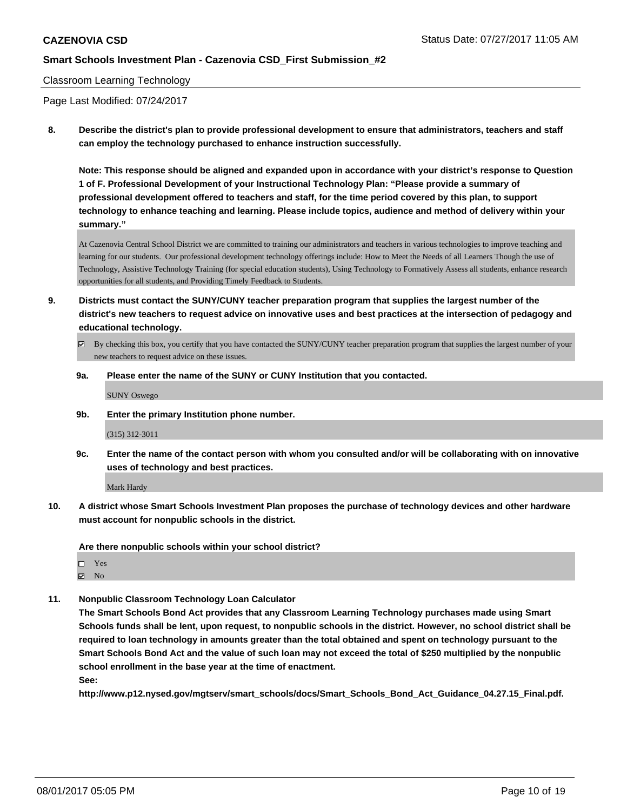### Classroom Learning Technology

Page Last Modified: 07/24/2017

**8. Describe the district's plan to provide professional development to ensure that administrators, teachers and staff can employ the technology purchased to enhance instruction successfully.**

**Note: This response should be aligned and expanded upon in accordance with your district's response to Question 1 of F. Professional Development of your Instructional Technology Plan: "Please provide a summary of professional development offered to teachers and staff, for the time period covered by this plan, to support technology to enhance teaching and learning. Please include topics, audience and method of delivery within your summary."**

At Cazenovia Central School District we are committed to training our administrators and teachers in various technologies to improve teaching and learning for our students. Our professional development technology offerings include: How to Meet the Needs of all Learners Though the use of Technology, Assistive Technology Training (for special education students), Using Technology to Formatively Assess all students, enhance research opportunities for all students, and Providing Timely Feedback to Students.

- **9. Districts must contact the SUNY/CUNY teacher preparation program that supplies the largest number of the district's new teachers to request advice on innovative uses and best practices at the intersection of pedagogy and educational technology.**
	- $\boxtimes$  By checking this box, you certify that you have contacted the SUNY/CUNY teacher preparation program that supplies the largest number of your new teachers to request advice on these issues.
	- **9a. Please enter the name of the SUNY or CUNY Institution that you contacted.**

SUNY Oswego

**9b. Enter the primary Institution phone number.**

(315) 312-3011

**9c. Enter the name of the contact person with whom you consulted and/or will be collaborating with on innovative uses of technology and best practices.**

Mark Hardy

**10. A district whose Smart Schools Investment Plan proposes the purchase of technology devices and other hardware must account for nonpublic schools in the district.**

**Are there nonpublic schools within your school district?**

Yes  $\boxtimes$  No

**11. Nonpublic Classroom Technology Loan Calculator**

**The Smart Schools Bond Act provides that any Classroom Learning Technology purchases made using Smart Schools funds shall be lent, upon request, to nonpublic schools in the district. However, no school district shall be required to loan technology in amounts greater than the total obtained and spent on technology pursuant to the Smart Schools Bond Act and the value of such loan may not exceed the total of \$250 multiplied by the nonpublic school enrollment in the base year at the time of enactment.**

**See:**

**http://www.p12.nysed.gov/mgtserv/smart\_schools/docs/Smart\_Schools\_Bond\_Act\_Guidance\_04.27.15\_Final.pdf.**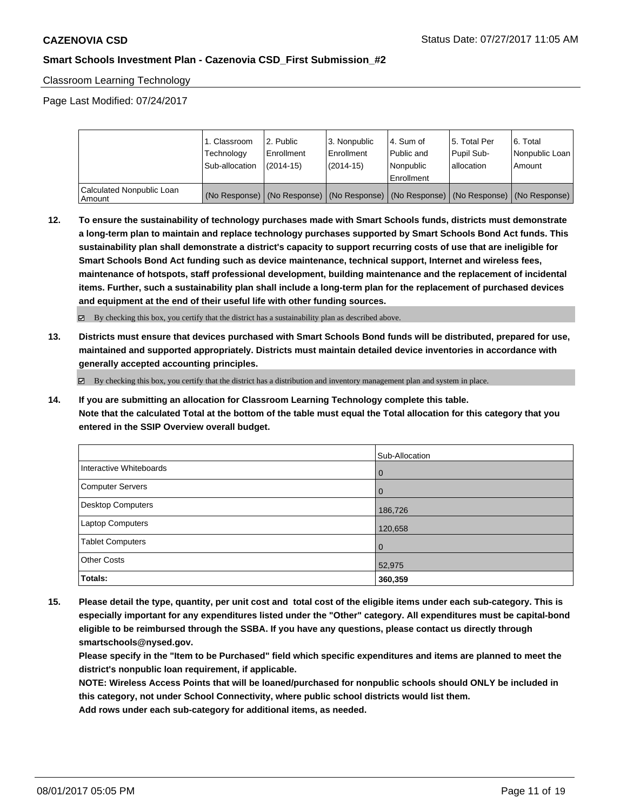Classroom Learning Technology

Page Last Modified: 07/24/2017

|                                       | 1. Classroom<br>Technology<br>Sub-allocation | 2. Public<br>l Enrollment<br>$(2014 - 15)$ | l 3. Nonpublic<br>l Enrollment<br>$(2014 - 15)$ | l 4. Sum of<br>Public and<br>l Nonpublic<br>Enrollment | 15. Total Per<br>Pupil Sub-<br>allocation | l 6. Total<br>Nonpublic Loan<br>l Amount                                                      |
|---------------------------------------|----------------------------------------------|--------------------------------------------|-------------------------------------------------|--------------------------------------------------------|-------------------------------------------|-----------------------------------------------------------------------------------------------|
| Calculated Nonpublic Loan<br>l Amount |                                              |                                            |                                                 |                                                        |                                           | (No Response)   (No Response)   (No Response)   (No Response)   (No Response)   (No Response) |

**12. To ensure the sustainability of technology purchases made with Smart Schools funds, districts must demonstrate a long-term plan to maintain and replace technology purchases supported by Smart Schools Bond Act funds. This sustainability plan shall demonstrate a district's capacity to support recurring costs of use that are ineligible for Smart Schools Bond Act funding such as device maintenance, technical support, Internet and wireless fees, maintenance of hotspots, staff professional development, building maintenance and the replacement of incidental items. Further, such a sustainability plan shall include a long-term plan for the replacement of purchased devices and equipment at the end of their useful life with other funding sources.**

By checking this box, you certify that the district has a sustainability plan as described above.

**13. Districts must ensure that devices purchased with Smart Schools Bond funds will be distributed, prepared for use, maintained and supported appropriately. Districts must maintain detailed device inventories in accordance with generally accepted accounting principles.**

 $\boxtimes$  By checking this box, you certify that the district has a distribution and inventory management plan and system in place.

**14. If you are submitting an allocation for Classroom Learning Technology complete this table. Note that the calculated Total at the bottom of the table must equal the Total allocation for this category that you entered in the SSIP Overview overall budget.**

|                         | Sub-Allocation |
|-------------------------|----------------|
| Interactive Whiteboards | l 0            |
| Computer Servers        | $\overline{0}$ |
| Desktop Computers       | 186,726        |
| Laptop Computers        | 120,658        |
| <b>Tablet Computers</b> | $\overline{0}$ |
| <b>Other Costs</b>      | 52,975         |
| Totals:                 | 360,359        |

**15. Please detail the type, quantity, per unit cost and total cost of the eligible items under each sub-category. This is especially important for any expenditures listed under the "Other" category. All expenditures must be capital-bond eligible to be reimbursed through the SSBA. If you have any questions, please contact us directly through smartschools@nysed.gov.**

**Please specify in the "Item to be Purchased" field which specific expenditures and items are planned to meet the district's nonpublic loan requirement, if applicable.**

**NOTE: Wireless Access Points that will be loaned/purchased for nonpublic schools should ONLY be included in this category, not under School Connectivity, where public school districts would list them.**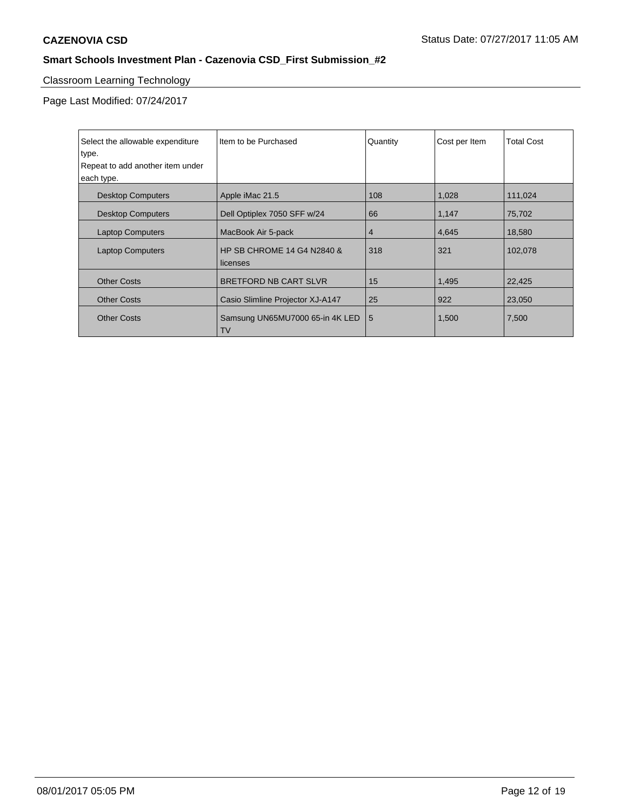# Classroom Learning Technology

| Select the allowable expenditure<br>type.<br>Repeat to add another item under<br>each type. | Item to be Purchased                                | Quantity | Cost per Item | <b>Total Cost</b> |
|---------------------------------------------------------------------------------------------|-----------------------------------------------------|----------|---------------|-------------------|
| <b>Desktop Computers</b>                                                                    | Apple iMac 21.5                                     | 108      | 1,028         | 111,024           |
| <b>Desktop Computers</b>                                                                    | Dell Optiplex 7050 SFF w/24                         | 66       | 1,147         | 75,702            |
| <b>Laptop Computers</b>                                                                     | MacBook Air 5-pack                                  | 4        | 4,645         | 18,580            |
| <b>Laptop Computers</b>                                                                     | <b>HP SB CHROME 14 G4 N2840 &amp;</b><br>l licenses | 318      | 321           | 102,078           |
| <b>Other Costs</b>                                                                          | BRETFORD NB CART SLVR                               | 15       | 1,495         | 22,425            |
| <b>Other Costs</b>                                                                          | Casio Slimline Projector XJ-A147                    | 25       | 922           | 23,050            |
| <b>Other Costs</b>                                                                          | Samsung UN65MU7000 65-in 4K LED<br><b>TV</b>        | 5        | 1,500         | 7,500             |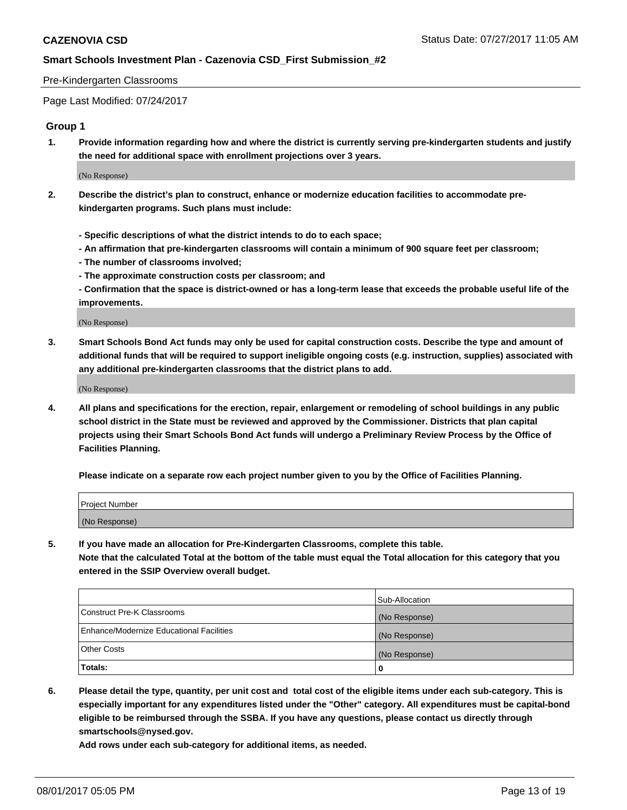#### Pre-Kindergarten Classrooms

Page Last Modified: 07/24/2017

### **Group 1**

**1. Provide information regarding how and where the district is currently serving pre-kindergarten students and justify the need for additional space with enrollment projections over 3 years.**

(No Response)

- **2. Describe the district's plan to construct, enhance or modernize education facilities to accommodate prekindergarten programs. Such plans must include:**
	- **Specific descriptions of what the district intends to do to each space;**
	- **An affirmation that pre-kindergarten classrooms will contain a minimum of 900 square feet per classroom;**
	- **The number of classrooms involved;**
	- **The approximate construction costs per classroom; and**
	- **Confirmation that the space is district-owned or has a long-term lease that exceeds the probable useful life of the improvements.**

(No Response)

**3. Smart Schools Bond Act funds may only be used for capital construction costs. Describe the type and amount of additional funds that will be required to support ineligible ongoing costs (e.g. instruction, supplies) associated with any additional pre-kindergarten classrooms that the district plans to add.**

(No Response)

**4. All plans and specifications for the erection, repair, enlargement or remodeling of school buildings in any public school district in the State must be reviewed and approved by the Commissioner. Districts that plan capital projects using their Smart Schools Bond Act funds will undergo a Preliminary Review Process by the Office of Facilities Planning.**

**Please indicate on a separate row each project number given to you by the Office of Facilities Planning.**

| Project Number |  |
|----------------|--|
| (No Response)  |  |

**5. If you have made an allocation for Pre-Kindergarten Classrooms, complete this table. Note that the calculated Total at the bottom of the table must equal the Total allocation for this category that you entered in the SSIP Overview overall budget.**

| Totals:                                  | 0              |
|------------------------------------------|----------------|
| Other Costs                              | (No Response)  |
| Enhance/Modernize Educational Facilities | (No Response)  |
| Construct Pre-K Classrooms               | (No Response)  |
|                                          | Sub-Allocation |

**6. Please detail the type, quantity, per unit cost and total cost of the eligible items under each sub-category. This is especially important for any expenditures listed under the "Other" category. All expenditures must be capital-bond eligible to be reimbursed through the SSBA. If you have any questions, please contact us directly through smartschools@nysed.gov.**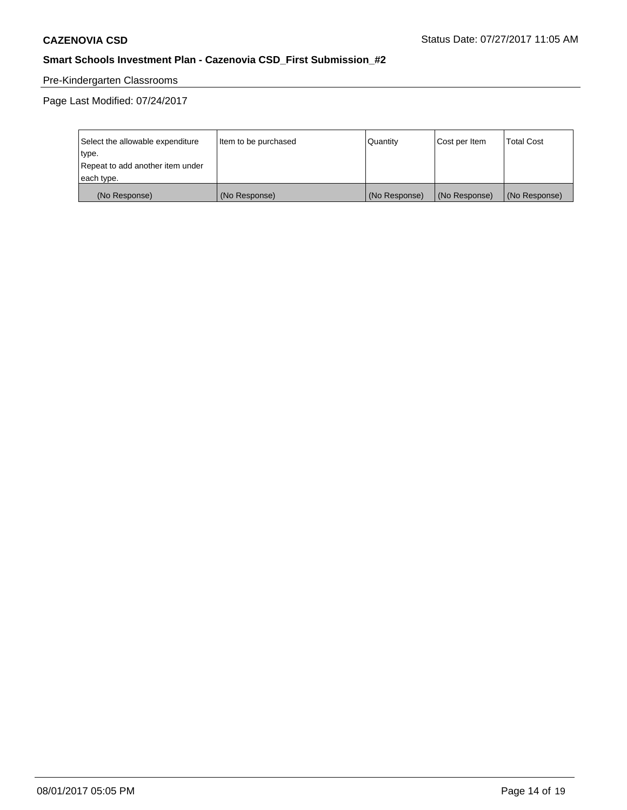# Pre-Kindergarten Classrooms

| Select the allowable expenditure | Item to be purchased | Quantity      | Cost per Item | <b>Total Cost</b> |
|----------------------------------|----------------------|---------------|---------------|-------------------|
| type.                            |                      |               |               |                   |
| Repeat to add another item under |                      |               |               |                   |
| each type.                       |                      |               |               |                   |
| (No Response)                    | (No Response)        | (No Response) | (No Response) | (No Response)     |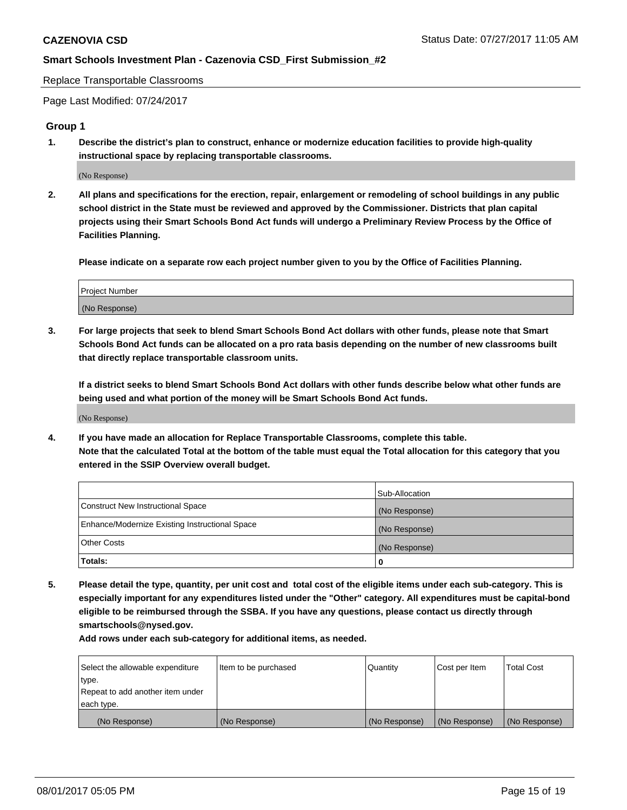Replace Transportable Classrooms

Page Last Modified: 07/24/2017

#### **Group 1**

**1. Describe the district's plan to construct, enhance or modernize education facilities to provide high-quality instructional space by replacing transportable classrooms.**

(No Response)

**2. All plans and specifications for the erection, repair, enlargement or remodeling of school buildings in any public school district in the State must be reviewed and approved by the Commissioner. Districts that plan capital projects using their Smart Schools Bond Act funds will undergo a Preliminary Review Process by the Office of Facilities Planning.**

**Please indicate on a separate row each project number given to you by the Office of Facilities Planning.**

| Project Number |  |  |
|----------------|--|--|
| (No Response)  |  |  |

**3. For large projects that seek to blend Smart Schools Bond Act dollars with other funds, please note that Smart Schools Bond Act funds can be allocated on a pro rata basis depending on the number of new classrooms built that directly replace transportable classroom units.**

**If a district seeks to blend Smart Schools Bond Act dollars with other funds describe below what other funds are being used and what portion of the money will be Smart Schools Bond Act funds.**

(No Response)

**4. If you have made an allocation for Replace Transportable Classrooms, complete this table. Note that the calculated Total at the bottom of the table must equal the Total allocation for this category that you entered in the SSIP Overview overall budget.**

|                                                | Sub-Allocation |
|------------------------------------------------|----------------|
| Construct New Instructional Space              | (No Response)  |
| Enhance/Modernize Existing Instructional Space | (No Response)  |
| Other Costs                                    | (No Response)  |
| Totals:                                        | $\Omega$       |

**5. Please detail the type, quantity, per unit cost and total cost of the eligible items under each sub-category. This is especially important for any expenditures listed under the "Other" category. All expenditures must be capital-bond eligible to be reimbursed through the SSBA. If you have any questions, please contact us directly through smartschools@nysed.gov.**

| Select the allowable expenditure | Item to be purchased | Quantity      | Cost per Item | <b>Total Cost</b> |
|----------------------------------|----------------------|---------------|---------------|-------------------|
| type.                            |                      |               |               |                   |
| Repeat to add another item under |                      |               |               |                   |
| each type.                       |                      |               |               |                   |
| (No Response)                    | (No Response)        | (No Response) | (No Response) | (No Response)     |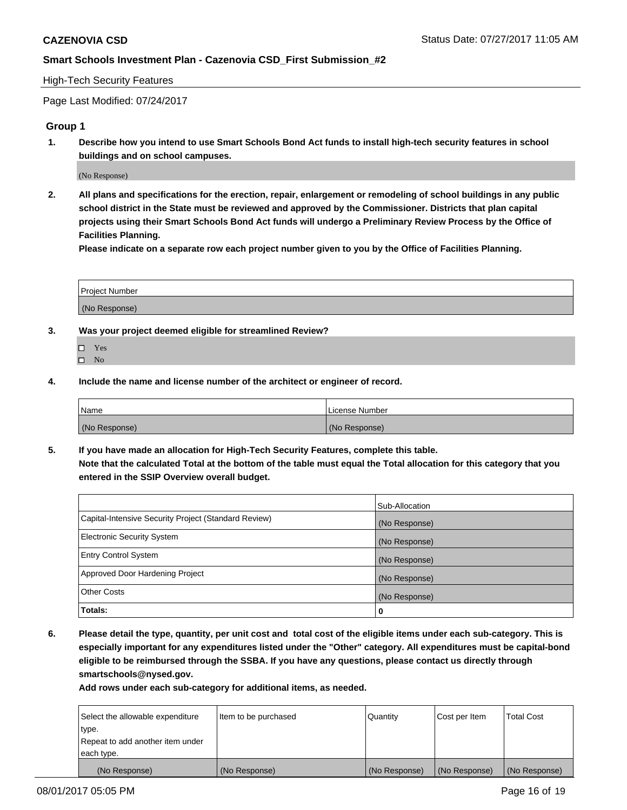#### High-Tech Security Features

Page Last Modified: 07/24/2017

### **Group 1**

**1. Describe how you intend to use Smart Schools Bond Act funds to install high-tech security features in school buildings and on school campuses.**

(No Response)

**2. All plans and specifications for the erection, repair, enlargement or remodeling of school buildings in any public school district in the State must be reviewed and approved by the Commissioner. Districts that plan capital projects using their Smart Schools Bond Act funds will undergo a Preliminary Review Process by the Office of Facilities Planning.** 

**Please indicate on a separate row each project number given to you by the Office of Facilities Planning.**

| Project Number |  |
|----------------|--|
|                |  |
| (No Response)  |  |

- **3. Was your project deemed eligible for streamlined Review?**
	- Yes  $\hfill \square$  No
- **4. Include the name and license number of the architect or engineer of record.**

| Name          | License Number |
|---------------|----------------|
| (No Response) | (No Response)  |

**5. If you have made an allocation for High-Tech Security Features, complete this table. Note that the calculated Total at the bottom of the table must equal the Total allocation for this category that you entered in the SSIP Overview overall budget.**

|                                                      | Sub-Allocation |
|------------------------------------------------------|----------------|
| Capital-Intensive Security Project (Standard Review) | (No Response)  |
| Electronic Security System                           | (No Response)  |
| <b>Entry Control System</b>                          | (No Response)  |
| Approved Door Hardening Project                      | (No Response)  |
| <b>Other Costs</b>                                   | (No Response)  |
| Totals:                                              | 0              |

**6. Please detail the type, quantity, per unit cost and total cost of the eligible items under each sub-category. This is especially important for any expenditures listed under the "Other" category. All expenditures must be capital-bond eligible to be reimbursed through the SSBA. If you have any questions, please contact us directly through smartschools@nysed.gov.**

| (No Response)                    | (No Response)        | (No Response) | (No Response) | (No Response)     |
|----------------------------------|----------------------|---------------|---------------|-------------------|
| each type.                       |                      |               |               |                   |
| Repeat to add another item under |                      |               |               |                   |
| type.                            |                      |               |               |                   |
| Select the allowable expenditure | Item to be purchased | Quantity      | Cost per Item | <b>Total Cost</b> |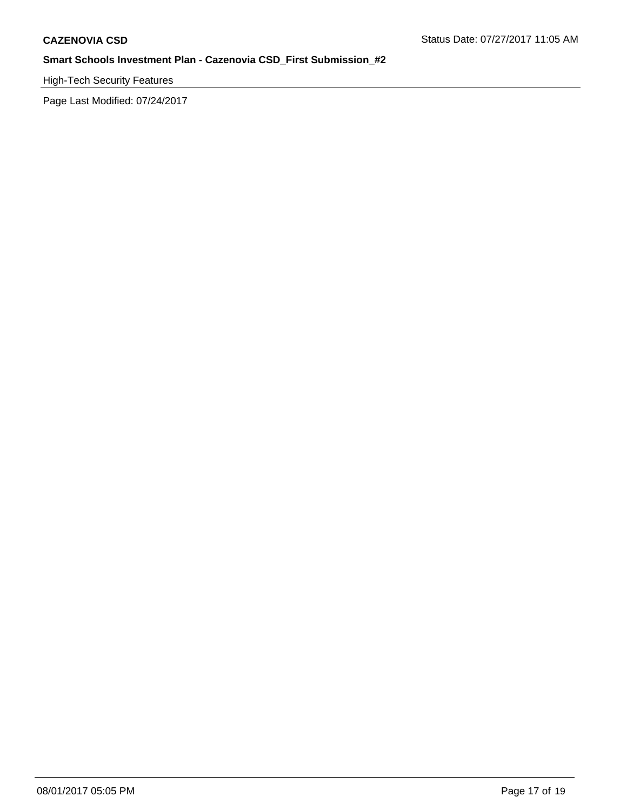# High-Tech Security Features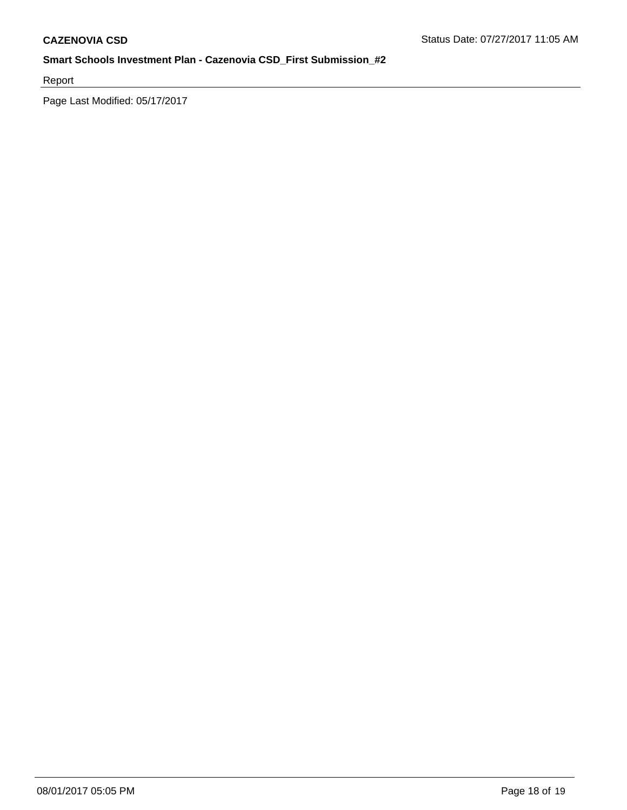Report

Page Last Modified: 05/17/2017